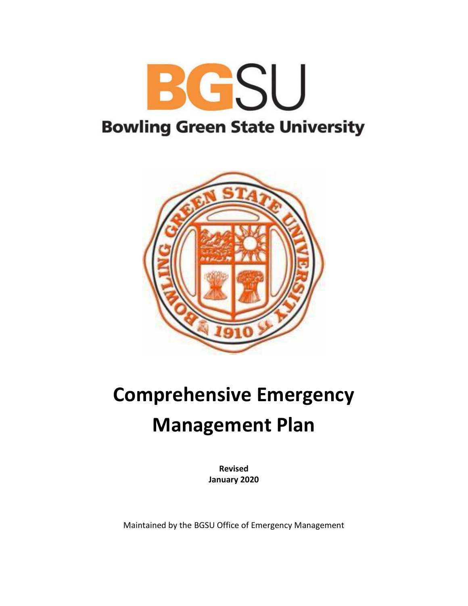



# **Comprehensive Emergency Management Plan**

**Revised January 2020**

Maintained by the BGSU Office of Emergency Management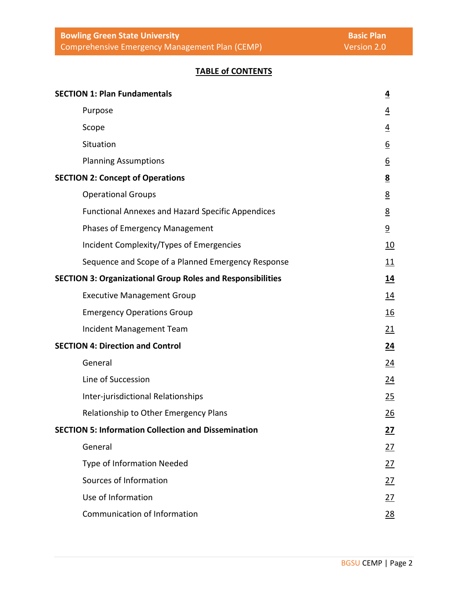## **TABLE of CONTENTS**

| <b>SECTION 1: Plan Fundamentals</b>                               | $\overline{4}$   |
|-------------------------------------------------------------------|------------------|
| Purpose                                                           | $\overline{4}$   |
| Scope                                                             | $\overline{4}$   |
| Situation                                                         | $6 \overline{6}$ |
| <b>Planning Assumptions</b>                                       | <u>6</u>         |
| <b>SECTION 2: Concept of Operations</b>                           | 8                |
| <b>Operational Groups</b>                                         | 8                |
| <b>Functional Annexes and Hazard Specific Appendices</b>          | <u>8</u>         |
| <b>Phases of Emergency Management</b>                             | $\overline{9}$   |
| Incident Complexity/Types of Emergencies                          | <u>10</u>        |
| Sequence and Scope of a Planned Emergency Response                | 11               |
| <b>SECTION 3: Organizational Group Roles and Responsibilities</b> | <u> 14</u>       |
| <b>Executive Management Group</b>                                 | <u>14</u>        |
| <b>Emergency Operations Group</b>                                 | <u>16</u>        |
| Incident Management Team                                          | <u>21</u>        |
| <b>SECTION 4: Direction and Control</b>                           | 24               |
| General                                                           | 24               |
| Line of Succession                                                | <u>24</u>        |
| Inter-jurisdictional Relationships                                | 25               |
| Relationship to Other Emergency Plans                             | 26               |
| <b>SECTION 5: Information Collection and Dissemination</b>        | 27               |
| General                                                           | 27               |
| <b>Type of Information Needed</b>                                 | 27               |
| Sources of Information                                            | 27               |
| Use of Information                                                | 27               |
| Communication of Information                                      | 28               |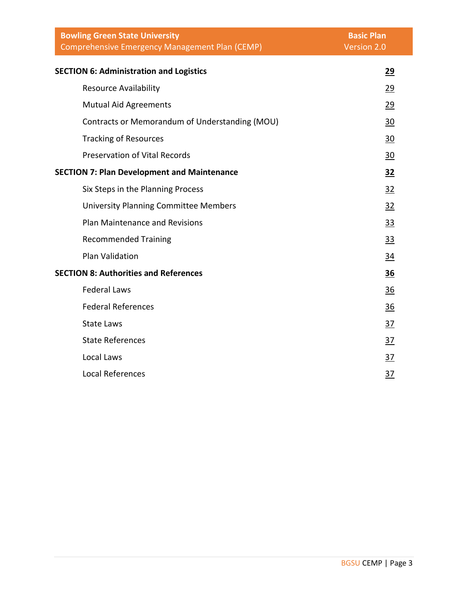| <b>Bowling Green State University</b><br>Comprehensive Emergency Management Plan (CEMP) | <b>Basic Plan</b><br>Version 2.0 |
|-----------------------------------------------------------------------------------------|----------------------------------|
| <b>SECTION 6: Administration and Logistics</b>                                          | 29                               |
| <b>Resource Availability</b>                                                            | 29                               |
| <b>Mutual Aid Agreements</b>                                                            | 29                               |
| Contracts or Memorandum of Understanding (MOU)                                          | 30                               |
| <b>Tracking of Resources</b>                                                            | 30                               |
| <b>Preservation of Vital Records</b>                                                    | 30                               |
| <b>SECTION 7: Plan Development and Maintenance</b>                                      | 32                               |
| Six Steps in the Planning Process                                                       | 32                               |
| <b>University Planning Committee Members</b>                                            | 32                               |
| <b>Plan Maintenance and Revisions</b>                                                   | <u>33</u>                        |
| <b>Recommended Training</b>                                                             | <u>33</u>                        |
| <b>Plan Validation</b>                                                                  | <u>34</u>                        |
| <b>SECTION 8: Authorities and References</b>                                            | <u>36</u>                        |
| <b>Federal Laws</b>                                                                     | 36                               |
| <b>Federal References</b>                                                               | 36                               |
| <b>State Laws</b>                                                                       | 37                               |
| <b>State References</b>                                                                 | <u>37</u>                        |
| Local Laws                                                                              | 37                               |
| Local References                                                                        | $\frac{37}{2}$                   |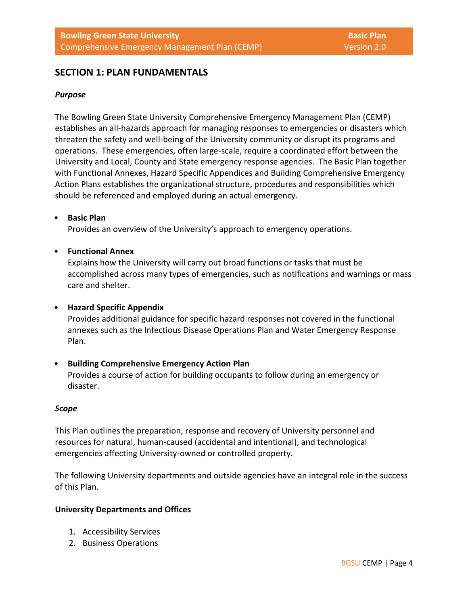## **SECTION 1: PLAN FUNDAMENTALS**

## *Purpose*

The Bowling Green State University Comprehensive Emergency Management Plan (CEMP) establishes an all-hazards approach for managing responses to emergencies or disasters which threaten the safety and well-being of the University community or disrupt its programs and operations. These emergencies, often large-scale, require a coordinated effort between the University and Local, County and State emergency response agencies. The Basic Plan together with Functional Annexes, Hazard Specific Appendices and Building Comprehensive Emergency Action Plans establishes the organizational structure, procedures and responsibilities which should be referenced and employed during an actual emergency.

#### • **Basic Plan**

Provides an overview of the University's approach to emergency operations.

## • **Functional Annex**

Explains how the University will carry out broad functions or tasks that must be accomplished across many types of emergencies, such as notifications and warnings or mass care and shelter.

## • **Hazard Specific Appendix**

Provides additional guidance for specific hazard responses not covered in the functional annexes such as the Infectious Disease Operations Plan and Water Emergency Response Plan.

• **Building Comprehensive Emergency Action Plan** Provides a course of action for building occupants to follow during an emergency or disaster.

#### *Scope*

This Plan outlines the preparation, response and recovery of University personnel and resources for natural, human-caused (accidental and intentional), and technological emergencies affecting University-owned or controlled property.

The following University departments and outside agencies have an integral role in the success of this Plan.

#### **University Departments and Offices**

- 1. Accessibility Services
- 2. Business Operations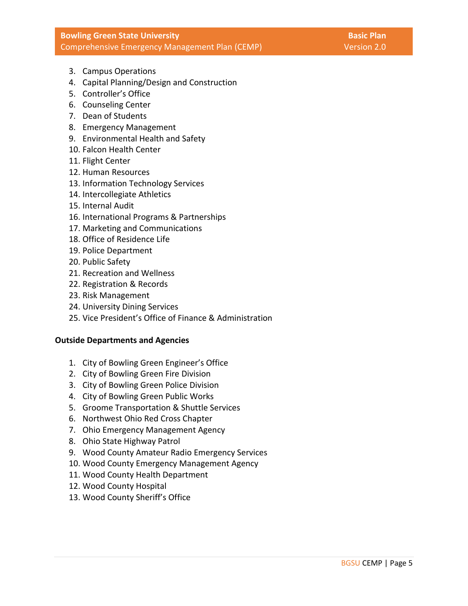## **Bowling Green State University Basic Planners and Basic Planners and Basic Planners and Basic Planners and Basic Planners and Basic Planners and Basic Planners and Basic Planners and Basic Planners and Basic Planners and** Comprehensive Emergency Management Plan (CEMP) Version 2.0

- 3. Campus Operations
- 4. Capital Planning/Design and Construction
- 5. Controller's Office
- 6. Counseling Center
- 7. Dean of Students
- 8. Emergency Management
- 9. Environmental Health and Safety
- 10. Falcon Health Center
- 11. Flight Center
- 12. Human Resources
- 13. Information Technology Services
- 14. Intercollegiate Athletics
- 15. Internal Audit
- 16. International Programs & Partnerships
- 17. Marketing and Communications
- 18. Office of Residence Life
- 19. Police Department
- 20. Public Safety
- 21. Recreation and Wellness
- 22. Registration & Records
- 23. Risk Management
- 24. University Dining Services
- 25. Vice President's Office of Finance & Administration

## **Outside Departments and Agencies**

- 1. City of Bowling Green Engineer's Office
- 2. City of Bowling Green Fire Division
- 3. City of Bowling Green Police Division
- 4. City of Bowling Green Public Works
- 5. Groome Transportation & Shuttle Services
- 6. Northwest Ohio Red Cross Chapter
- 7. Ohio Emergency Management Agency
- 8. Ohio State Highway Patrol
- 9. Wood County Amateur Radio Emergency Services
- 10. Wood County Emergency Management Agency
- 11. Wood County Health Department
- 12. Wood County Hospital
- 13. Wood County Sheriff's Office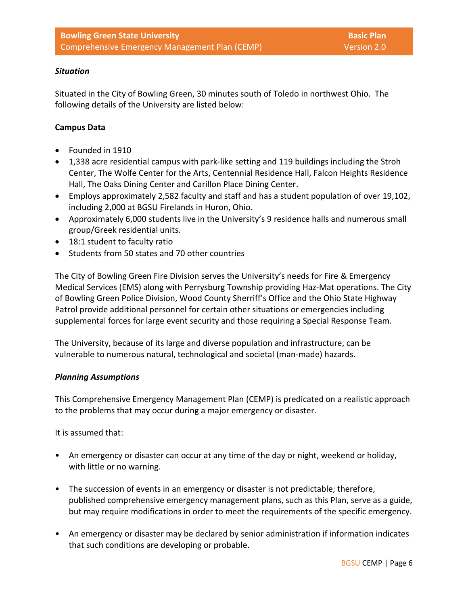## *Situation*

Situated in the City of Bowling Green, 30 minutes south of Toledo in northwest Ohio. The following details of the University are listed below:

## **Campus Data**

- Founded in 1910
- 1,338 acre residential campus with park-like setting and 119 buildings including the Stroh Center, The Wolfe Center for the Arts, Centennial Residence Hall, Falcon Heights Residence Hall, The Oaks Dining Center and Carillon Place Dining Center.
- Employs approximately 2,582 faculty and staff and has a student population of over 19,102, including 2,000 at BGSU Firelands in Huron, Ohio.
- Approximately 6,000 students live in the University's 9 residence halls and numerous small group/Greek residential units.
- 18:1 student to faculty ratio
- Students from 50 states and 70 other countries

The City of Bowling Green Fire Division serves the University's needs for Fire & Emergency Medical Services (EMS) along with Perrysburg Township providing Haz-Mat operations. The City of Bowling Green Police Division, Wood County Sherriff's Office and the Ohio State Highway Patrol provide additional personnel for certain other situations or emergencies including supplemental forces for large event security and those requiring a Special Response Team.

The University, because of its large and diverse population and infrastructure, can be vulnerable to numerous natural, technological and societal (man-made) hazards.

## *Planning Assumptions*

This Comprehensive Emergency Management Plan (CEMP) is predicated on a realistic approach to the problems that may occur during a major emergency or disaster.

It is assumed that:

- An emergency or disaster can occur at any time of the day or night, weekend or holiday, with little or no warning.
- The succession of events in an emergency or disaster is not predictable; therefore, published comprehensive emergency management plans, such as this Plan, serve as a guide, but may require modifications in order to meet the requirements of the specific emergency.
- An emergency or disaster may be declared by senior administration if information indicates that such conditions are developing or probable.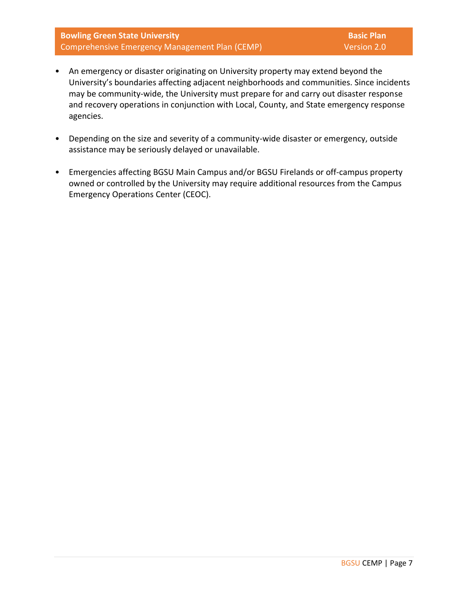**Bowling Green State University Basic Plan** Comprehensive Emergency Management Plan (CEMP) Version 2.0

- An emergency or disaster originating on University property may extend beyond the University's boundaries affecting adjacent neighborhoods and communities. Since incidents may be community-wide, the University must prepare for and carry out disaster response and recovery operations in conjunction with Local, County, and State emergency response agencies.
- Depending on the size and severity of a community-wide disaster or emergency, outside assistance may be seriously delayed or unavailable.
- Emergencies affecting BGSU Main Campus and/or BGSU Firelands or off-campus property owned or controlled by the University may require additional resources from the Campus Emergency Operations Center (CEOC).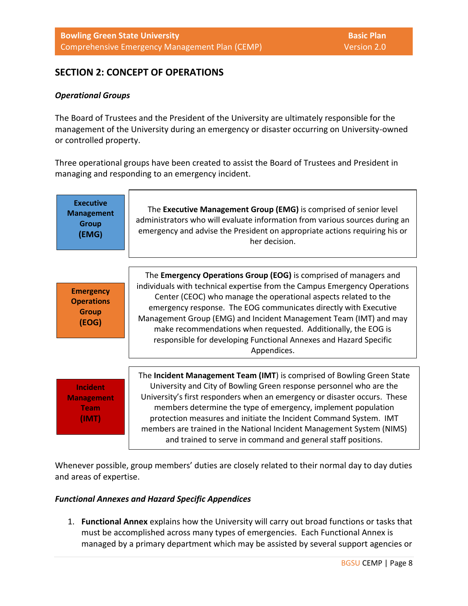## **SECTION 2: CONCEPT OF OPERATIONS**

## *Operational Groups*

The Board of Trustees and the President of the University are ultimately responsible for the management of the University during an emergency or disaster occurring on University-owned or controlled property.

Three operational groups have been created to assist the Board of Trustees and President in managing and responding to an emergency incident.



Whenever possible, group members' duties are closely related to their normal day to day duties and areas of expertise.

## *Functional Annexes and Hazard Specific Appendices*

1. **Functional Annex** explains how the University will carry out broad functions or tasks that must be accomplished across many types of emergencies. Each Functional Annex is managed by a primary department which may be assisted by several support agencies or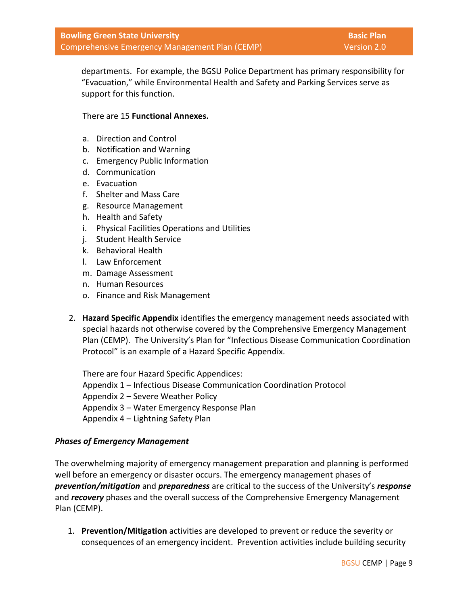departments. For example, the BGSU Police Department has primary responsibility for "Evacuation," while Environmental Health and Safety and Parking Services serve as support for this function.

## There are 15 **Functional Annexes.**

- a. Direction and Control
- b. Notification and Warning
- c. Emergency Public Information
- d. Communication
- e. Evacuation
- f. Shelter and Mass Care
- g. Resource Management
- h. Health and Safety
- i. Physical Facilities Operations and Utilities
- j. Student Health Service
- k. Behavioral Health
- l. Law Enforcement
- m. Damage Assessment
- n. Human Resources
- o. Finance and Risk Management
- 2. **Hazard Specific Appendix** identifies the emergency management needs associated with special hazards not otherwise covered by the Comprehensive Emergency Management Plan (CEMP). The University's Plan for "Infectious Disease Communication Coordination Protocol" is an example of a Hazard Specific Appendix.

There are four Hazard Specific Appendices: Appendix 1 – Infectious Disease Communication Coordination Protocol Appendix 2 – Severe Weather Policy Appendix 3 – Water Emergency Response Plan Appendix 4 – Lightning Safety Plan

## *Phases of Emergency Management*

The overwhelming majority of emergency management preparation and planning is performed well before an emergency or disaster occurs. The emergency management phases of *prevention/mitigation* and *preparedness* are critical to the success of the University's *response*  and *recovery* phases and the overall success of the Comprehensive Emergency Management Plan (CEMP).

1. **Prevention/Mitigation** activities are developed to prevent or reduce the severity or consequences of an emergency incident. Prevention activities include building security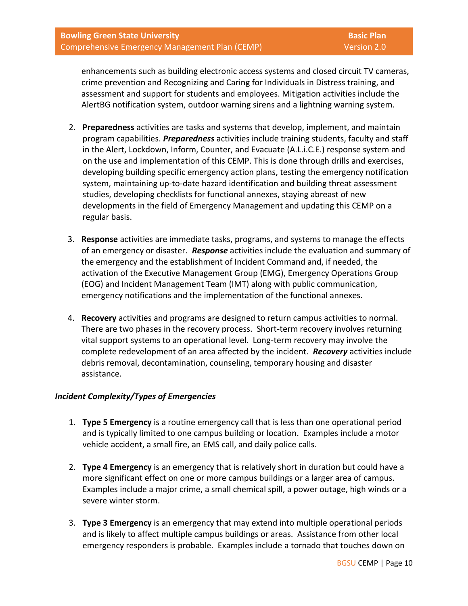enhancements such as building electronic access systems and closed circuit TV cameras, crime prevention and Recognizing and Caring for Individuals in Distress training, and assessment and support for students and employees. Mitigation activities include the AlertBG notification system, outdoor warning sirens and a lightning warning system.

- 2. **Preparedness** activities are tasks and systems that develop, implement, and maintain program capabilities. *Preparedness* activities include training students, faculty and staff in the Alert, Lockdown, Inform, Counter, and Evacuate (A.L.i.C.E.) response system and on the use and implementation of this CEMP. This is done through drills and exercises, developing building specific emergency action plans, testing the emergency notification system, maintaining up-to-date hazard identification and building threat assessment studies, developing checklists for functional annexes, staying abreast of new developments in the field of Emergency Management and updating this CEMP on a regular basis.
- 3. **Response** activities are immediate tasks, programs, and systems to manage the effects of an emergency or disaster. *Response* activities include the evaluation and summary of the emergency and the establishment of Incident Command and, if needed, the activation of the Executive Management Group (EMG), Emergency Operations Group (EOG) and Incident Management Team (IMT) along with public communication, emergency notifications and the implementation of the functional annexes.
- 4. **Recovery** activities and programs are designed to return campus activities to normal. There are two phases in the recovery process. Short-term recovery involves returning vital support systems to an operational level. Long-term recovery may involve the complete redevelopment of an area affected by the incident. *Recovery* activities include debris removal, decontamination, counseling, temporary housing and disaster assistance.

## *Incident Complexity/Types of Emergencies*

- 1. **Type 5 Emergency** is a routine emergency call that is less than one operational period and is typically limited to one campus building or location. Examples include a motor vehicle accident, a small fire, an EMS call, and daily police calls.
- 2. **Type 4 Emergency** is an emergency that is relatively short in duration but could have a more significant effect on one or more campus buildings or a larger area of campus. Examples include a major crime, a small chemical spill, a power outage, high winds or a severe winter storm.
- 3. **Type 3 Emergency** is an emergency that may extend into multiple operational periods and is likely to affect multiple campus buildings or areas. Assistance from other local emergency responders is probable. Examples include a tornado that touches down on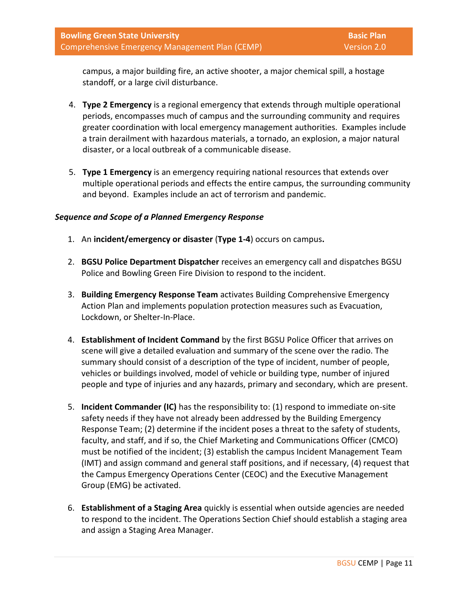campus, a major building fire, an active shooter, a major chemical spill, a hostage standoff, or a large civil disturbance.

- 4. **Type 2 Emergency** is a regional emergency that extends through multiple operational periods, encompasses much of campus and the surrounding community and requires greater coordination with local emergency management authorities. Examples include a train derailment with hazardous materials, a tornado, an explosion, a major natural disaster, or a local outbreak of a communicable disease.
- 5. **Type 1 Emergency** is an emergency requiring national resources that extends over multiple operational periods and effects the entire campus, the surrounding community and beyond. Examples include an act of terrorism and pandemic.

## *Sequence and Scope of a Planned Emergency Response*

- 1. An **incident/emergency or disaster** (**Type 1-4**) occurs on campus**.**
- 2. **BGSU Police Department Dispatcher** receives an emergency call and dispatches BGSU Police and Bowling Green Fire Division to respond to the incident.
- 3. **Building Emergency Response Team** activates Building Comprehensive Emergency Action Plan and implements population protection measures such as Evacuation, Lockdown, or Shelter-In-Place.
- 4. **Establishment of Incident Command** by the first BGSU Police Officer that arrives on scene will give a detailed evaluation and summary of the scene over the radio. The summary should consist of a description of the type of incident, number of people, vehicles or buildings involved, model of vehicle or building type, number of injured people and type of injuries and any hazards, primary and secondary, which are present.
- 5. **Incident Commander (IC)** has the responsibility to: (1) respond to immediate on-site safety needs if they have not already been addressed by the Building Emergency Response Team; (2) determine if the incident poses a threat to the safety of students, faculty, and staff, and if so, the Chief Marketing and Communications Officer (CMCO) must be notified of the incident; (3) establish the campus Incident Management Team (IMT) and assign command and general staff positions, and if necessary, (4) request that the Campus Emergency Operations Center (CEOC) and the Executive Management Group (EMG) be activated.
- 6. **Establishment of a Staging Area** quickly is essential when outside agencies are needed to respond to the incident. The Operations Section Chief should establish a staging area and assign a Staging Area Manager.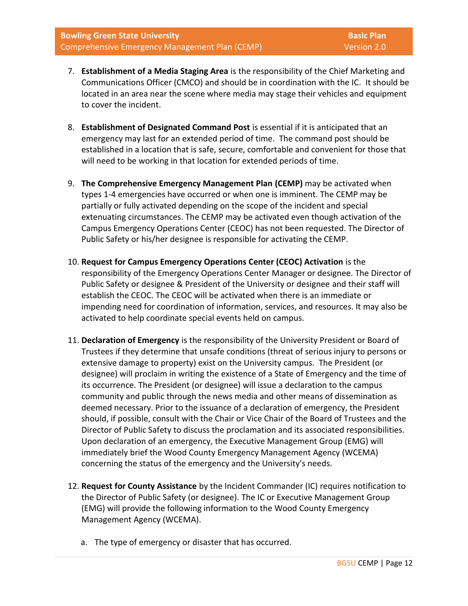- 7. **Establishment of a Media Staging Area** is the responsibility of the Chief Marketing and Communications Officer (CMCO) and should be in coordination with the IC. It should be located in an area near the scene where media may stage their vehicles and equipment to cover the incident.
- 8. **Establishment of Designated Command Post** is essential if it is anticipated that an emergency may last for an extended period of time. The command post should be established in a location that is safe, secure, comfortable and convenient for those that will need to be working in that location for extended periods of time.
- 9. **The Comprehensive Emergency Management Plan (CEMP)** may be activated when types 1-4 emergencies have occurred or when one is imminent. The CEMP may be partially or fully activated depending on the scope of the incident and special extenuating circumstances. The CEMP may be activated even though activation of the Campus Emergency Operations Center (CEOC) has not been requested. The Director of Public Safety or his/her designee is responsible for activating the CEMP.
- 10. **Request for Campus Emergency Operations Center (CEOC) Activation** is the responsibility of the Emergency Operations Center Manager or designee. The Director of Public Safety or designee & President of the University or designee and their staff will establish the CEOC. The CEOC will be activated when there is an immediate or impending need for coordination of information, services, and resources. It may also be activated to help coordinate special events held on campus.
- 11. **Declaration of Emergency** is the responsibility of the University President or Board of Trustees if they determine that unsafe conditions (threat of serious injury to persons or extensive damage to property) exist on the University campus. The President (or designee) will proclaim in writing the existence of a State of Emergency and the time of its occurrence. The President (or designee) will issue a declaration to the campus community and public through the news media and other means of dissemination as deemed necessary. Prior to the issuance of a declaration of emergency, the President should, if possible, consult with the Chair or Vice Chair of the Board of Trustees and the Director of Public Safety to discuss the proclamation and its associated responsibilities. Upon declaration of an emergency, the Executive Management Group (EMG) will immediately brief the Wood County Emergency Management Agency (WCEMA) concerning the status of the emergency and the University's needs.
- 12. **Request for County Assistance** by the Incident Commander (IC) requires notification to the Director of Public Safety (or designee). The IC or Executive Management Group (EMG) will provide the following information to the Wood County Emergency Management Agency (WCEMA).
	- a. The type of emergency or disaster that has occurred.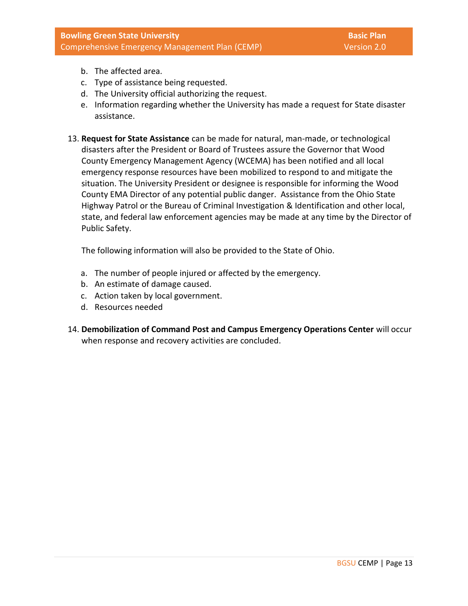- b. The affected area.
- c. Type of assistance being requested.
- d. The University official authorizing the request.
- e. Information regarding whether the University has made a request for State disaster assistance.
- 13. **Request for State Assistance** can be made for natural, man-made, or technological disasters after the President or Board of Trustees assure the Governor that Wood County Emergency Management Agency (WCEMA) has been notified and all local emergency response resources have been mobilized to respond to and mitigate the situation. The University President or designee is responsible for informing the Wood County EMA Director of any potential public danger. Assistance from the Ohio State Highway Patrol or the Bureau of Criminal Investigation & Identification and other local, state, and federal law enforcement agencies may be made at any time by the Director of Public Safety.

The following information will also be provided to the State of Ohio.

- a. The number of people injured or affected by the emergency.
- b. An estimate of damage caused.
- c. Action taken by local government.
- d. Resources needed
- 14. **Demobilization of Command Post and Campus Emergency Operations Center** will occur when response and recovery activities are concluded.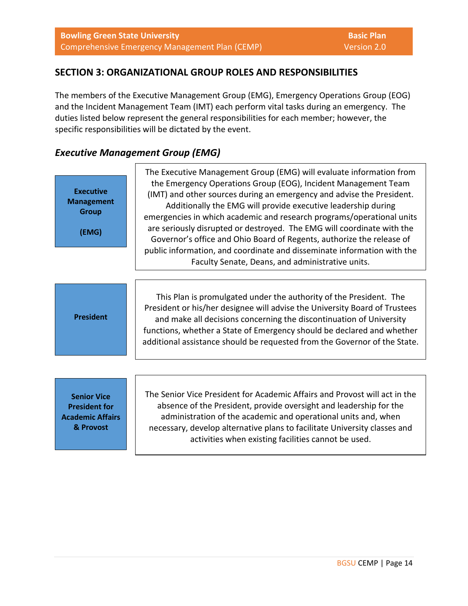## **SECTION 3: ORGANIZATIONAL GROUP ROLES AND RESPONSIBILITIES**

The members of the Executive Management Group (EMG), Emergency Operations Group (EOG) and the Incident Management Team (IMT) each perform vital tasks during an emergency. The duties listed below represent the general responsibilities for each member; however, the specific responsibilities will be dictated by the event.

## *Executive Management Group (EMG)*

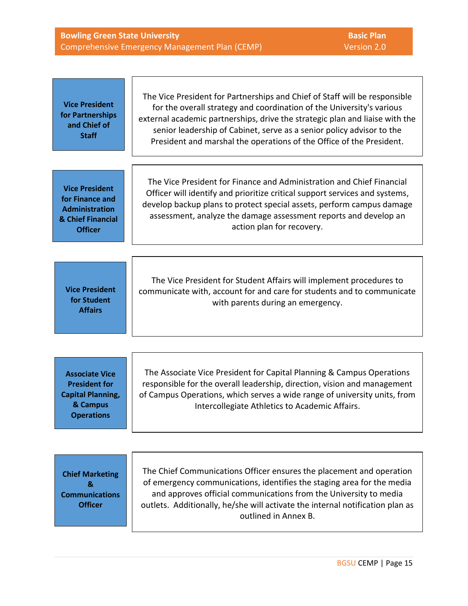|                                                                                                            | Version 2.0<br>Comprehensive Emergency Management Plan (CEMP)                                                                                                                                                                                                                                                                                                                        |
|------------------------------------------------------------------------------------------------------------|--------------------------------------------------------------------------------------------------------------------------------------------------------------------------------------------------------------------------------------------------------------------------------------------------------------------------------------------------------------------------------------|
|                                                                                                            |                                                                                                                                                                                                                                                                                                                                                                                      |
| <b>Vice President</b><br>for Partnerships<br>and Chief of<br><b>Staff</b>                                  | The Vice President for Partnerships and Chief of Staff will be responsible<br>for the overall strategy and coordination of the University's various<br>external academic partnerships, drive the strategic plan and liaise with the<br>senior leadership of Cabinet, serve as a senior policy advisor to the<br>President and marshal the operations of the Office of the President. |
|                                                                                                            |                                                                                                                                                                                                                                                                                                                                                                                      |
| <b>Vice President</b><br>for Finance and<br><b>Administration</b><br>& Chief Financial<br><b>Officer</b>   | The Vice President for Finance and Administration and Chief Financial<br>Officer will identify and prioritize critical support services and systems,<br>develop backup plans to protect special assets, perform campus damage<br>assessment, analyze the damage assessment reports and develop an<br>action plan for recovery.                                                       |
|                                                                                                            |                                                                                                                                                                                                                                                                                                                                                                                      |
| <b>Vice President</b><br>for Student<br><b>Affairs</b>                                                     | The Vice President for Student Affairs will implement procedures to<br>communicate with, account for and care for students and to communicate<br>with parents during an emergency.                                                                                                                                                                                                   |
|                                                                                                            |                                                                                                                                                                                                                                                                                                                                                                                      |
| <b>Associate Vice</b><br><b>President for</b><br><b>Capital Planning,</b><br>& Campus<br><b>Operations</b> | The Associate Vice President for Capital Planning & Campus Operations<br>responsible for the overall leadership, direction, vision and management<br>of Campus Operations, which serves a wide range of university units, from<br>Intercollegiate Athletics to Academic Affairs.                                                                                                     |
|                                                                                                            |                                                                                                                                                                                                                                                                                                                                                                                      |
| <b>Chief Marketing</b><br>&<br><b>Communications</b><br><b>Officer</b>                                     | The Chief Communications Officer ensures the placement and operation<br>of emergency communications, identifies the staging area for the media<br>and approves official communications from the University to media<br>outlets. Additionally, he/she will activate the internal notification plan as<br>outlined in Annex B.                                                         |

**Bowling Green State University Basic Plan**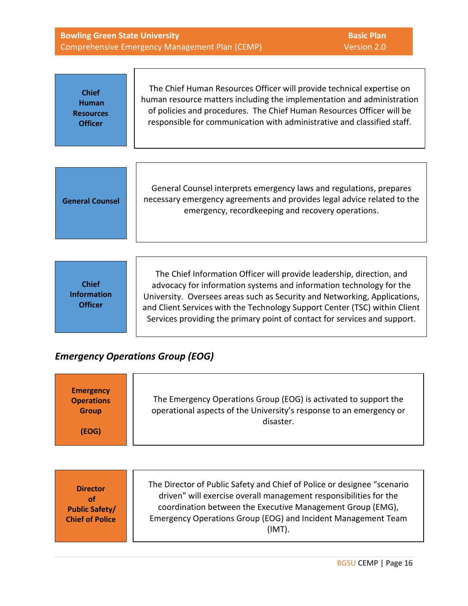| <b>Bowling Green State University</b>                              |                                                                                                                                                                                                                                                                                                                                                                                      | <b>Basic Plan</b> |
|--------------------------------------------------------------------|--------------------------------------------------------------------------------------------------------------------------------------------------------------------------------------------------------------------------------------------------------------------------------------------------------------------------------------------------------------------------------------|-------------------|
|                                                                    | Comprehensive Emergency Management Plan (CEMP)                                                                                                                                                                                                                                                                                                                                       | Version 2.0       |
|                                                                    | The Chief Human Resources Officer will provide technical expertise on                                                                                                                                                                                                                                                                                                                |                   |
| <b>Chief</b><br><b>Human</b><br><b>Resources</b><br><b>Officer</b> | human resource matters including the implementation and administration<br>of policies and procedures. The Chief Human Resources Officer will be<br>responsible for communication with administrative and classified staff.                                                                                                                                                           |                   |
|                                                                    |                                                                                                                                                                                                                                                                                                                                                                                      |                   |
| <b>General Counsel</b>                                             | General Counsel interprets emergency laws and regulations, prepares<br>necessary emergency agreements and provides legal advice related to the<br>emergency, recordkeeping and recovery operations.                                                                                                                                                                                  |                   |
|                                                                    |                                                                                                                                                                                                                                                                                                                                                                                      |                   |
| <b>Chief</b><br><b>Information</b><br><b>Officer</b>               | The Chief Information Officer will provide leadership, direction, and<br>advocacy for information systems and information technology for the<br>University. Oversees areas such as Security and Networking, Applications,<br>and Client Services with the Technology Support Center (TSC) within Client<br>Services providing the primary point of contact for services and support. |                   |

## *Emergency Operations Group (EOG)*

| <b>Emergency</b><br><b>Operations</b><br><b>Group</b><br>(EOG)           | The Emergency Operations Group (EOG) is activated to support the<br>operational aspects of the University's response to an emergency or<br>disaster.                                                                                                                                  |
|--------------------------------------------------------------------------|---------------------------------------------------------------------------------------------------------------------------------------------------------------------------------------------------------------------------------------------------------------------------------------|
| <b>Director</b><br>of<br><b>Public Safety/</b><br><b>Chief of Police</b> | The Director of Public Safety and Chief of Police or designee "scenario<br>driven" will exercise overall management responsibilities for the<br>coordination between the Executive Management Group (EMG),<br>Emergency Operations Group (EOG) and Incident Management Team<br>(IMT). |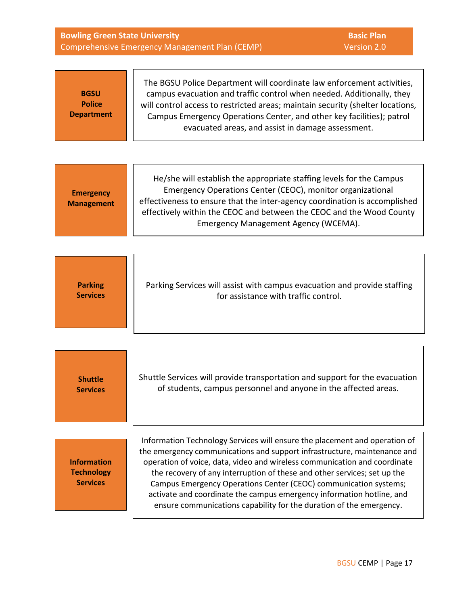| <b>Bowling Green State University</b>                      | <b>Basic Plan</b><br>Version 2.0<br>Comprehensive Emergency Management Plan (CEMP)                                                                                                                                                                                                                                                                                                                                                                    |
|------------------------------------------------------------|-------------------------------------------------------------------------------------------------------------------------------------------------------------------------------------------------------------------------------------------------------------------------------------------------------------------------------------------------------------------------------------------------------------------------------------------------------|
| <b>BGSU</b><br><b>Police</b><br><b>Department</b>          | The BGSU Police Department will coordinate law enforcement activities,<br>campus evacuation and traffic control when needed. Additionally, they<br>will control access to restricted areas; maintain security (shelter locations,<br>Campus Emergency Operations Center, and other key facilities); patrol<br>evacuated areas, and assist in damage assessment.                                                                                       |
|                                                            |                                                                                                                                                                                                                                                                                                                                                                                                                                                       |
| <b>Emergency</b><br><b>Management</b>                      | He/she will establish the appropriate staffing levels for the Campus<br>Emergency Operations Center (CEOC), monitor organizational<br>effectiveness to ensure that the inter-agency coordination is accomplished<br>effectively within the CEOC and between the CEOC and the Wood County<br>Emergency Management Agency (WCEMA).                                                                                                                      |
|                                                            |                                                                                                                                                                                                                                                                                                                                                                                                                                                       |
| <b>Parking</b><br><b>Services</b>                          | Parking Services will assist with campus evacuation and provide staffing<br>for assistance with traffic control.                                                                                                                                                                                                                                                                                                                                      |
|                                                            |                                                                                                                                                                                                                                                                                                                                                                                                                                                       |
| <b>Shuttle</b><br><b>Services</b>                          | Shuttle Services will provide transportation and support for the evacuation<br>of students, campus personnel and anyone in the affected areas.                                                                                                                                                                                                                                                                                                        |
|                                                            | Information Technology Services will ensure the placement and operation of                                                                                                                                                                                                                                                                                                                                                                            |
| <b>Information</b><br><b>Technology</b><br><b>Services</b> | the emergency communications and support infrastructure, maintenance and<br>operation of voice, data, video and wireless communication and coordinate<br>the recovery of any interruption of these and other services; set up the<br>Campus Emergency Operations Center (CEOC) communication systems;<br>activate and coordinate the campus emergency information hotline, and<br>ensure communications capability for the duration of the emergency. |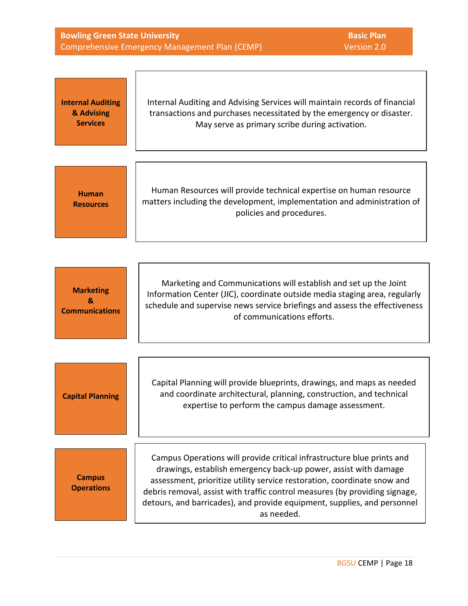| <b>Bowling Green State University</b>                         |                                                                                                                                                                                                                                                                                                                                                                                               | <b>Basic Plan</b> |
|---------------------------------------------------------------|-----------------------------------------------------------------------------------------------------------------------------------------------------------------------------------------------------------------------------------------------------------------------------------------------------------------------------------------------------------------------------------------------|-------------------|
| Version 2.0<br>Comprehensive Emergency Management Plan (CEMP) |                                                                                                                                                                                                                                                                                                                                                                                               |                   |
| <b>Internal Auditing</b><br>& Advising<br><b>Services</b>     | Internal Auditing and Advising Services will maintain records of financial<br>transactions and purchases necessitated by the emergency or disaster.<br>May serve as primary scribe during activation.                                                                                                                                                                                         |                   |
| <b>Human</b><br><b>Resources</b>                              | Human Resources will provide technical expertise on human resource<br>matters including the development, implementation and administration of<br>policies and procedures.                                                                                                                                                                                                                     |                   |
| <b>Marketing</b><br>$\mathbf{g}_i$<br><b>Communications</b>   | Marketing and Communications will establish and set up the Joint<br>Information Center (JIC), coordinate outside media staging area, regularly<br>schedule and supervise news service briefings and assess the effectiveness<br>of communications efforts.                                                                                                                                    |                   |
| <b>Capital Planning</b>                                       | Capital Planning will provide blueprints, drawings, and maps as needed<br>and coordinate architectural, planning, construction, and technical<br>expertise to perform the campus damage assessment.                                                                                                                                                                                           |                   |
| <b>Campus</b><br><b>Operations</b>                            | Campus Operations will provide critical infrastructure blue prints and<br>drawings, establish emergency back-up power, assist with damage<br>assessment, prioritize utility service restoration, coordinate snow and<br>debris removal, assist with traffic control measures (by providing signage,<br>detours, and barricades), and provide equipment, supplies, and personnel<br>as needed. |                   |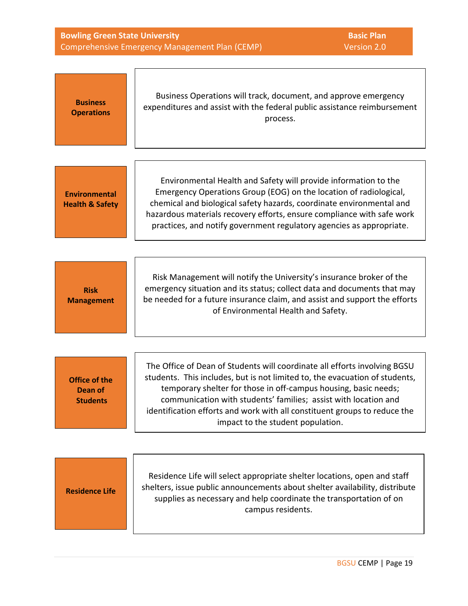| <b>Bowling Green State University</b>              | <b>Basic Plan</b><br>Comprehensive Emergency Management Plan (CEMP)<br>Version 2.0                                                                                                                                                                                                                                                                                                                               |
|----------------------------------------------------|------------------------------------------------------------------------------------------------------------------------------------------------------------------------------------------------------------------------------------------------------------------------------------------------------------------------------------------------------------------------------------------------------------------|
|                                                    |                                                                                                                                                                                                                                                                                                                                                                                                                  |
| <b>Business</b><br><b>Operations</b>               | Business Operations will track, document, and approve emergency<br>expenditures and assist with the federal public assistance reimbursement<br>process.                                                                                                                                                                                                                                                          |
|                                                    |                                                                                                                                                                                                                                                                                                                                                                                                                  |
| <b>Environmental</b><br><b>Health &amp; Safety</b> | Environmental Health and Safety will provide information to the<br>Emergency Operations Group (EOG) on the location of radiological,<br>chemical and biological safety hazards, coordinate environmental and<br>hazardous materials recovery efforts, ensure compliance with safe work<br>practices, and notify government regulatory agencies as appropriate.                                                   |
|                                                    |                                                                                                                                                                                                                                                                                                                                                                                                                  |
| <b>Risk</b><br><b>Management</b>                   | Risk Management will notify the University's insurance broker of the<br>emergency situation and its status; collect data and documents that may<br>be needed for a future insurance claim, and assist and support the efforts<br>of Environmental Health and Safety.                                                                                                                                             |
|                                                    |                                                                                                                                                                                                                                                                                                                                                                                                                  |
| <b>Office of the</b><br>Dean of<br><b>Students</b> | The Office of Dean of Students will coordinate all efforts involving BGSU<br>students. This includes, but is not limited to, the evacuation of students,<br>temporary shelter for those in off-campus housing, basic needs;<br>communication with students' families; assist with location and<br>identification efforts and work with all constituent groups to reduce the<br>impact to the student population. |
|                                                    |                                                                                                                                                                                                                                                                                                                                                                                                                  |
| <b>Residence Life</b>                              | Residence Life will select appropriate shelter locations, open and staff<br>shelters, issue public announcements about shelter availability, distribute<br>supplies as necessary and help coordinate the transportation of on<br>campus residents.                                                                                                                                                               |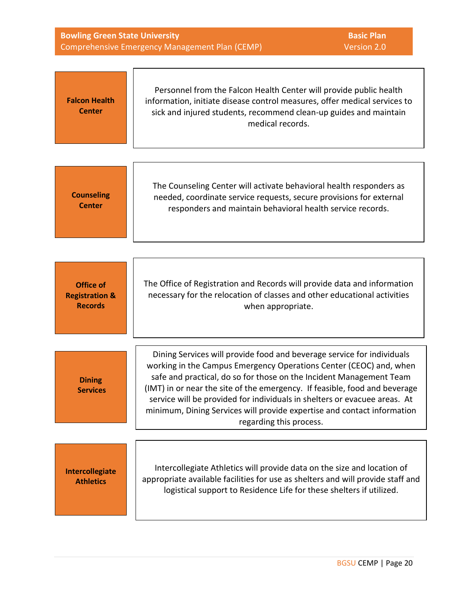| <b>Bowling Green State University</b><br><b>Basic Plan</b><br>Comprehensive Emergency Management Plan (CEMP)<br>Version 2.0 |                                                                                                                                                                                                                                                                                                                                                                                                                                                                                      |  |
|-----------------------------------------------------------------------------------------------------------------------------|--------------------------------------------------------------------------------------------------------------------------------------------------------------------------------------------------------------------------------------------------------------------------------------------------------------------------------------------------------------------------------------------------------------------------------------------------------------------------------------|--|
| <b>Falcon Health</b><br><b>Center</b>                                                                                       | Personnel from the Falcon Health Center will provide public health<br>information, initiate disease control measures, offer medical services to<br>sick and injured students, recommend clean-up guides and maintain<br>medical records.                                                                                                                                                                                                                                             |  |
| <b>Counseling</b><br><b>Center</b>                                                                                          | The Counseling Center will activate behavioral health responders as<br>needed, coordinate service requests, secure provisions for external<br>responders and maintain behavioral health service records.                                                                                                                                                                                                                                                                             |  |
| <b>Office of</b><br><b>Registration &amp;</b><br><b>Records</b>                                                             | The Office of Registration and Records will provide data and information<br>necessary for the relocation of classes and other educational activities<br>when appropriate.                                                                                                                                                                                                                                                                                                            |  |
| <b>Dining</b><br><b>Services</b>                                                                                            | Dining Services will provide food and beverage service for individuals<br>working in the Campus Emergency Operations Center (CEOC) and, when<br>safe and practical, do so for those on the Incident Management Team<br>(IMT) in or near the site of the emergency. If feasible, food and beverage<br>service will be provided for individuals in shelters or evacuee areas. At<br>minimum, Dining Services will provide expertise and contact information<br>regarding this process. |  |
| Intercollegiate<br><b>Athletics</b>                                                                                         | Intercollegiate Athletics will provide data on the size and location of<br>appropriate available facilities for use as shelters and will provide staff and<br>logistical support to Residence Life for these shelters if utilized.                                                                                                                                                                                                                                                   |  |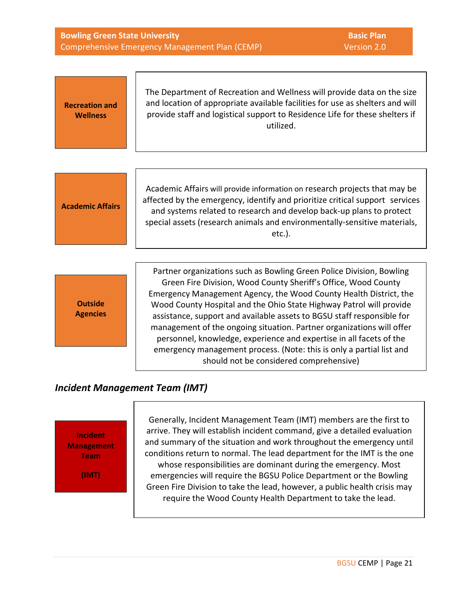| <b>Bowling Green State University</b><br>Comprehensive Emergency Management Plan (CEMP)                                                                                                                                                                                                                                                                                                                                                                                                                      |  |
|--------------------------------------------------------------------------------------------------------------------------------------------------------------------------------------------------------------------------------------------------------------------------------------------------------------------------------------------------------------------------------------------------------------------------------------------------------------------------------------------------------------|--|
| The Department of Recreation and Wellness will provide data on the size<br>and location of appropriate available facilities for use as shelters and will<br>provide staff and logistical support to Residence Life for these shelters if<br>utilized.                                                                                                                                                                                                                                                        |  |
| Academic Affairs will provide information on research projects that may be<br>affected by the emergency, identify and prioritize critical support services<br>and systems related to research and develop back-up plans to protect<br>special assets (research animals and environmentally-sensitive materials,<br>$etc.$ ).                                                                                                                                                                                 |  |
| Partner organizations such as Bowling Green Police Division, Bowling<br>Green Fire Division, Wood County Sheriff's Office, Wood County<br>Emergency Management Agency, the Wood County Health District, the<br>Wood County Hospital and the Ohio State Highway Patrol will provide<br>assistance, support and available assets to BGSU staff responsible for<br>management of the ongoing situation. Partner organizations will offer<br>personnel, knowledge, experience and expertise in all facets of the |  |
|                                                                                                                                                                                                                                                                                                                                                                                                                                                                                                              |  |

## *Incident Management Team (IMT)*

**Incident Management Team (IMT)**

Generally, Incident Management Team (IMT) members are the first to arrive. They will establish incident command, give a detailed evaluation and summary of the situation and work throughout the emergency until conditions return to normal. The lead department for the IMT is the one whose responsibilities are dominant during the emergency. Most emergencies will require the BGSU Police Department or the Bowling Green Fire Division to take the lead, however, a public health crisis may require the Wood County Health Department to take the lead.

should not be considered comprehensive)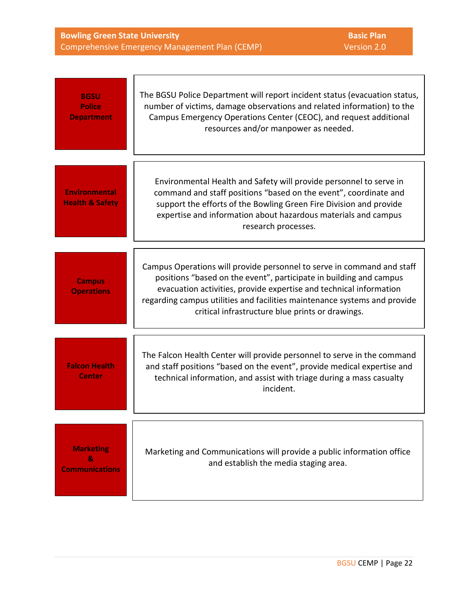| <b>Bowling Green State University</b>          |  |
|------------------------------------------------|--|
| Comprehensive Emergency Management Plan (CEMP) |  |

**Basic Plan** Version 2.0

| <b>BGSU</b><br><b>Police</b><br><b>Department</b>  | The BGSU Police Department will report incident status (evacuation status,<br>number of victims, damage observations and related information) to the<br>Campus Emergency Operations Center (CEOC), and request additional<br>resources and/or manpower as needed.                                                                                   |
|----------------------------------------------------|-----------------------------------------------------------------------------------------------------------------------------------------------------------------------------------------------------------------------------------------------------------------------------------------------------------------------------------------------------|
| <b>Environmental</b><br><b>Health &amp; Safety</b> | Environmental Health and Safety will provide personnel to serve in<br>command and staff positions "based on the event", coordinate and<br>support the efforts of the Bowling Green Fire Division and provide<br>expertise and information about hazardous materials and campus<br>research processes.                                               |
| <b>Campus</b><br><b>Operations</b>                 | Campus Operations will provide personnel to serve in command and staff<br>positions "based on the event", participate in building and campus<br>evacuation activities, provide expertise and technical information<br>regarding campus utilities and facilities maintenance systems and provide<br>critical infrastructure blue prints or drawings. |
| <b>Falcon Health</b><br><b>Center</b>              | The Falcon Health Center will provide personnel to serve in the command<br>and staff positions "based on the event", provide medical expertise and<br>technical information, and assist with triage during a mass casualty<br>incident.                                                                                                             |
| <b>Marketing</b><br>8.<br><b>Communications</b>    | Marketing and Communications will provide a public information office<br>and establish the media staging area.                                                                                                                                                                                                                                      |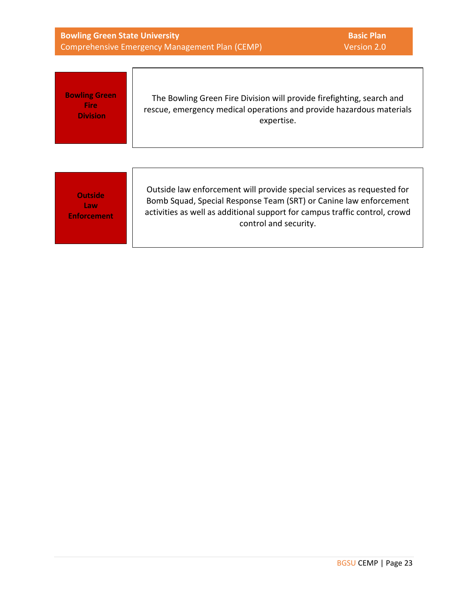| <b>Bowling Green State University</b><br>Comprehensive Emergency Management Plan (CEMP) |                                                                                                                                                                                                                                                    | <b>Basic Plan</b><br>Version 2.0 |
|-----------------------------------------------------------------------------------------|----------------------------------------------------------------------------------------------------------------------------------------------------------------------------------------------------------------------------------------------------|----------------------------------|
| <b>Bowling Green</b><br>Fire<br><b>Division</b>                                         | The Bowling Green Fire Division will provide firefighting, search and<br>rescue, emergency medical operations and provide hazardous materials<br>expertise.                                                                                        |                                  |
| <b>Outside</b><br>Law<br><b>Enforcement</b>                                             | Outside law enforcement will provide special services as requested for<br>Bomb Squad, Special Response Team (SRT) or Canine law enforcement<br>activities as well as additional support for campus traffic control, crowd<br>control and security. |                                  |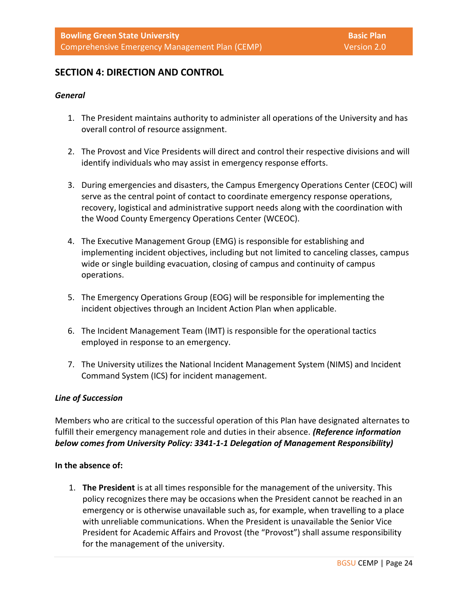## **SECTION 4: DIRECTION AND CONTROL**

#### *General*

- 1. The President maintains authority to administer all operations of the University and has overall control of resource assignment.
- 2. The Provost and Vice Presidents will direct and control their respective divisions and will identify individuals who may assist in emergency response efforts.
- 3. During emergencies and disasters, the Campus Emergency Operations Center (CEOC) will serve as the central point of contact to coordinate emergency response operations, recovery, logistical and administrative support needs along with the coordination with the Wood County Emergency Operations Center (WCEOC).
- 4. The Executive Management Group (EMG) is responsible for establishing and implementing incident objectives, including but not limited to canceling classes, campus wide or single building evacuation, closing of campus and continuity of campus operations.
- 5. The Emergency Operations Group (EOG) will be responsible for implementing the incident objectives through an Incident Action Plan when applicable.
- 6. The Incident Management Team (IMT) is responsible for the operational tactics employed in response to an emergency.
- 7. The University utilizes the National Incident Management System (NIMS) and Incident Command System (ICS) for incident management.

#### *Line of Succession*

Members who are critical to the successful operation of this Plan have designated alternates to fulfill their emergency management role and duties in their absence. *(Reference information below comes from University Policy: 3341-1-1 Delegation of Management Responsibility)*

#### **In the absence of:**

1. **The President** is at all times responsible for the management of the university. This policy recognizes there may be occasions when the President cannot be reached in an emergency or is otherwise unavailable such as, for example, when travelling to a place with unreliable communications. When the President is unavailable the Senior Vice President for Academic Affairs and Provost (the "Provost") shall assume responsibility for the management of the university.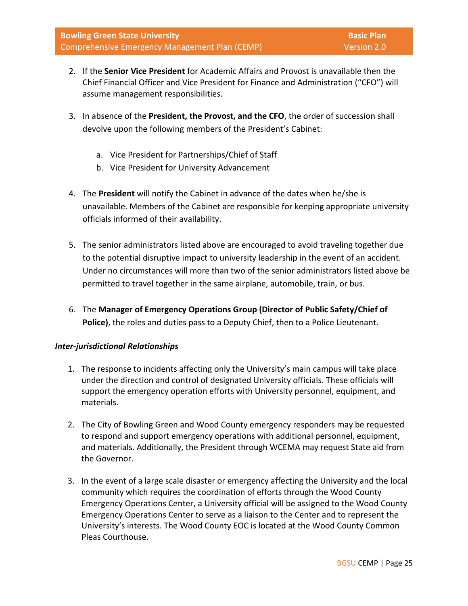- 2. If the **Senior Vice President** for Academic Affairs and Provost is unavailable then the Chief Financial Officer and Vice President for Finance and Administration ("CFO") will assume management responsibilities.
- 3. In absence of the **President, the Provost, and the CFO**, the order of succession shall devolve upon the following members of the President's Cabinet:
	- a. Vice President for Partnerships/Chief of Staff
	- b. Vice President for University Advancement
- 4. The **President** will notify the Cabinet in advance of the dates when he/she is unavailable. Members of the Cabinet are responsible for keeping appropriate university officials informed of their availability.
- 5. The senior administrators listed above are encouraged to avoid traveling together due to the potential disruptive impact to university leadership in the event of an accident. Under no circumstances will more than two of the senior administrators listed above be permitted to travel together in the same airplane, automobile, train, or bus.
- 6. The **Manager of Emergency Operations Group (Director of Public Safety/Chief of Police)**, the roles and duties pass to a Deputy Chief, then to a Police Lieutenant.

## *Inter-jurisdictional Relationships*

- 1. The response to incidents affecting only the University's main campus will take place under the direction and control of designated University officials. These officials will support the emergency operation efforts with University personnel, equipment, and materials.
- 2. The City of Bowling Green and Wood County emergency responders may be requested to respond and support emergency operations with additional personnel, equipment, and materials. Additionally, the President through WCEMA may request State aid from the Governor.
- 3. In the event of a large scale disaster or emergency affecting the University and the local community which requires the coordination of efforts through the Wood County Emergency Operations Center, a University official will be assigned to the Wood County Emergency Operations Center to serve as a liaison to the Center and to represent the University's interests. The Wood County EOC is located at the Wood County Common Pleas Courthouse.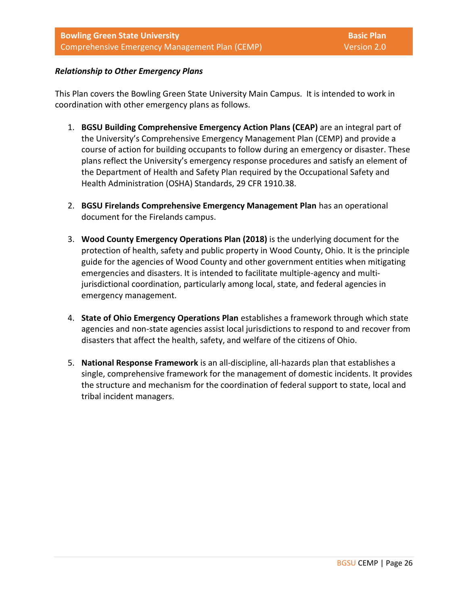## *Relationship to Other Emergency Plans*

This Plan covers the Bowling Green State University Main Campus. It is intended to work in coordination with other emergency plans as follows.

- 1. **BGSU Building Comprehensive Emergency Action Plans (CEAP)** are an integral part of the University's Comprehensive Emergency Management Plan (CEMP) and provide a course of action for building occupants to follow during an emergency or disaster. These plans reflect the University's emergency response procedures and satisfy an element of the Department of Health and Safety Plan required by the Occupational Safety and Health Administration (OSHA) Standards, 29 CFR 1910.38.
- 2. **BGSU Firelands Comprehensive Emergency Management Plan** has an operational document for the Firelands campus.
- 3. **Wood County Emergency Operations Plan (2018)** is the underlying document for the protection of health, safety and public property in Wood County, Ohio. It is the principle guide for the agencies of Wood County and other government entities when mitigating emergencies and disasters. It is intended to facilitate multiple-agency and multijurisdictional coordination, particularly among local, state, and federal agencies in emergency management.
- 4. **State of Ohio Emergency Operations Plan** establishes a framework through which state agencies and non-state agencies assist local jurisdictions to respond to and recover from disasters that affect the health, safety, and welfare of the citizens of Ohio.
- 5. **National Response Framework** is an all-discipline, all-hazards plan that establishes a single, comprehensive framework for the management of domestic incidents. It provides the structure and mechanism for the coordination of federal support to state, local and tribal incident managers.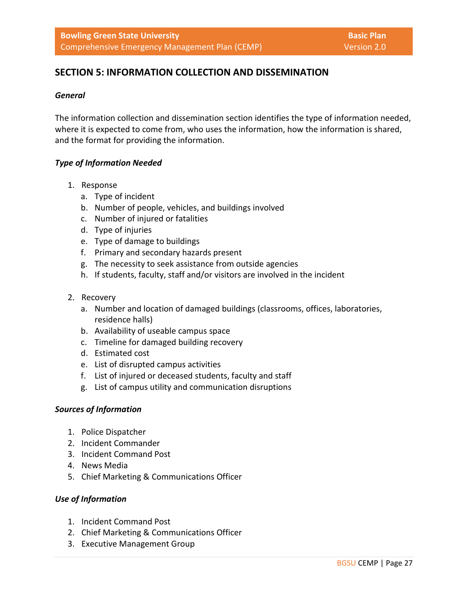## **SECTION 5: INFORMATION COLLECTION AND DISSEMINATION**

#### *General*

The information collection and dissemination section identifies the type of information needed, where it is expected to come from, who uses the information, how the information is shared, and the format for providing the information.

## *Type of Information Needed*

- 1. Response
	- a. Type of incident
	- b. Number of people, vehicles, and buildings involved
	- c. Number of injured or fatalities
	- d. Type of injuries
	- e. Type of damage to buildings
	- f. Primary and secondary hazards present
	- g. The necessity to seek assistance from outside agencies
	- h. If students, faculty, staff and/or visitors are involved in the incident
- 2. Recovery
	- a. Number and location of damaged buildings (classrooms, offices, laboratories, residence halls)
	- b. Availability of useable campus space
	- c. Timeline for damaged building recovery
	- d. Estimated cost
	- e. List of disrupted campus activities
	- f. List of injured or deceased students, faculty and staff
	- g. List of campus utility and communication disruptions

#### *Sources of Information*

- 1. Police Dispatcher
- 2. Incident Commander
- 3. Incident Command Post
- 4. News Media
- 5. Chief Marketing & Communications Officer

#### *Use of Information*

- 1. Incident Command Post
- 2. Chief Marketing & Communications Officer
- 3. Executive Management Group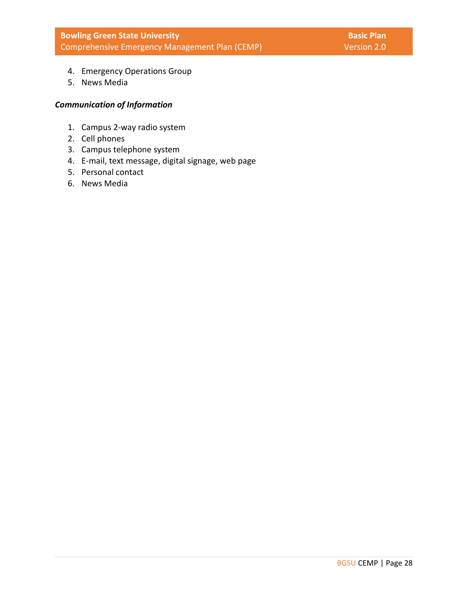- 4. Emergency Operations Group
- 5. News Media

## *Communication of Information*

- 1. Campus 2-way radio system
- 2. Cell phones
- 3. Campus telephone system
- 4. E-mail, text message, digital signage, web page
- 5. Personal contact
- 6. News Media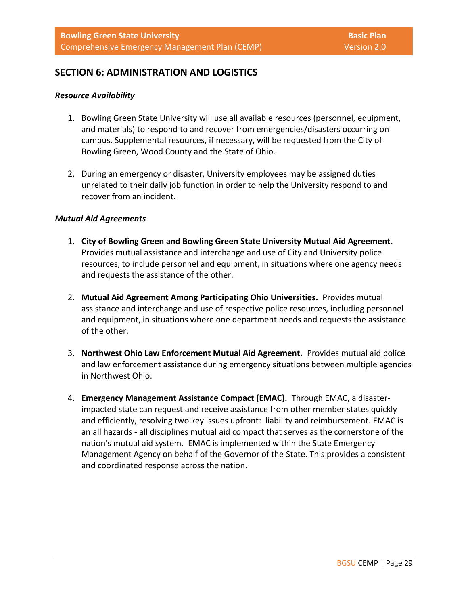## **SECTION 6: ADMINISTRATION AND LOGISTICS**

#### *Resource Availability*

- 1. Bowling Green State University will use all available resources (personnel, equipment, and materials) to respond to and recover from emergencies/disasters occurring on campus. Supplemental resources, if necessary, will be requested from the City of Bowling Green, Wood County and the State of Ohio.
- 2. During an emergency or disaster, University employees may be assigned duties unrelated to their daily job function in order to help the University respond to and recover from an incident.

#### *Mutual Aid Agreements*

- 1. **City of Bowling Green and Bowling Green State University Mutual Aid Agreement**. Provides mutual assistance and interchange and use of City and University police resources, to include personnel and equipment, in situations where one agency needs and requests the assistance of the other.
- 2. **Mutual Aid Agreement Among Participating Ohio Universities.** Provides mutual assistance and interchange and use of respective police resources, including personnel and equipment, in situations where one department needs and requests the assistance of the other.
- 3. **Northwest Ohio Law Enforcement Mutual Aid Agreement.** Provides mutual aid police and law enforcement assistance during emergency situations between multiple agencies in Northwest Ohio.
- 4. **Emergency Management Assistance Compact (EMAC).** Through EMAC, a disasterimpacted state can request and receive assistance from other member states quickly and efficiently, resolving two key issues upfront: liability and reimbursement. EMAC is an all hazards - all disciplines mutual aid compact that serves as the cornerstone of the nation's mutual aid system. EMAC is implemented within the State Emergency Management Agency on behalf of the Governor of the State. This provides a consistent and coordinated response across the nation.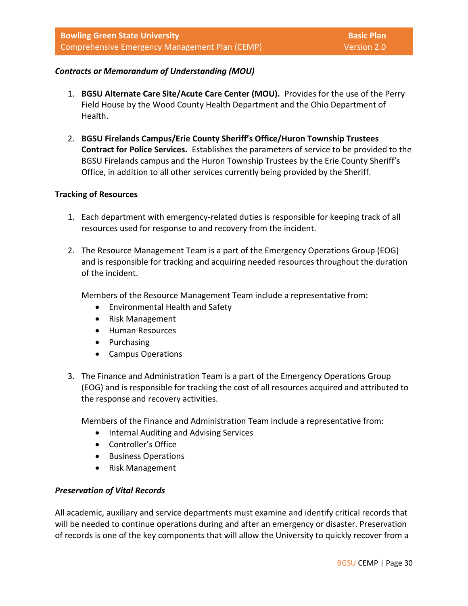## *Contracts or Memorandum of Understanding (MOU)*

- 1. **BGSU Alternate Care Site/Acute Care Center (MOU).** Provides for the use of the Perry Field House by the Wood County Health Department and the Ohio Department of Health.
- 2. **BGSU Firelands Campus/Erie County Sheriff's Office/Huron Township Trustees Contract for Police Services.** Establishes the parameters of service to be provided to the BGSU Firelands campus and the Huron Township Trustees by the Erie County Sheriff's Office, in addition to all other services currently being provided by the Sheriff.

#### **Tracking of Resources**

- 1. Each department with emergency-related duties is responsible for keeping track of all resources used for response to and recovery from the incident.
- 2. The Resource Management Team is a part of the Emergency Operations Group (EOG) and is responsible for tracking and acquiring needed resources throughout the duration of the incident.

Members of the Resource Management Team include a representative from:

- Environmental Health and Safety
- Risk Management
- Human Resources
- Purchasing
- Campus Operations
- 3. The Finance and Administration Team is a part of the Emergency Operations Group (EOG) and is responsible for tracking the cost of all resources acquired and attributed to the response and recovery activities.

Members of the Finance and Administration Team include a representative from:

- Internal Auditing and Advising Services
- Controller's Office
- Business Operations
- Risk Management

#### *Preservation of Vital Records*

All academic, auxiliary and service departments must examine and identify critical records that will be needed to continue operations during and after an emergency or disaster. Preservation of records is one of the key components that will allow the University to quickly recover from a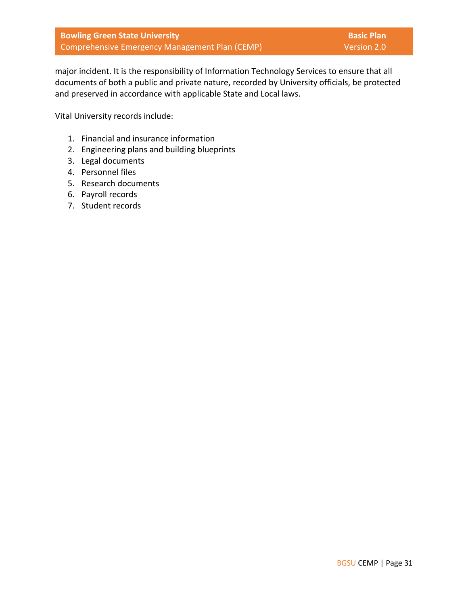major incident. It is the responsibility of Information Technology Services to ensure that all documents of both a public and private nature, recorded by University officials, be protected and preserved in accordance with applicable State and Local laws.

Vital University records include:

- 1. Financial and insurance information
- 2. Engineering plans and building blueprints
- 3. Legal documents
- 4. Personnel files
- 5. Research documents
- 6. Payroll records
- 7. Student records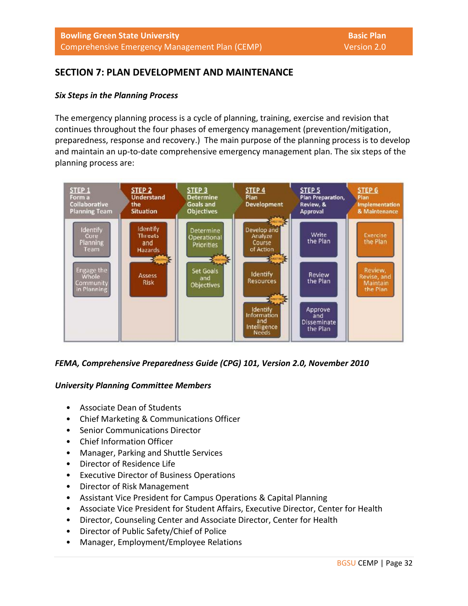## **SECTION 7: PLAN DEVELOPMENT AND MAINTENANCE**

## *Six Steps in the Planning Process*

The emergency planning process is a cycle of planning, training, exercise and revision that continues throughout the four phases of emergency management (prevention/mitigation, preparedness, response and recovery.) The main purpose of the planning process is to develop and maintain an up-to-date comprehensive emergency management plan. The six steps of the planning process are:



## *FEMA, Comprehensive Preparedness Guide (CPG) 101, Version 2.0, November 2010*

## *University Planning Committee Members*

- Associate Dean of Students
- Chief Marketing & Communications Officer
- Senior Communications Director
- Chief Information Officer
- Manager, Parking and Shuttle Services
- Director of Residence Life
- Executive Director of Business Operations
- Director of Risk Management
- Assistant Vice President for Campus Operations & Capital Planning
- Associate Vice President for Student Affairs, Executive Director, Center for Health
- Director, Counseling Center and Associate Director, Center for Health
- Director of Public Safety/Chief of Police
- Manager, Employment/Employee Relations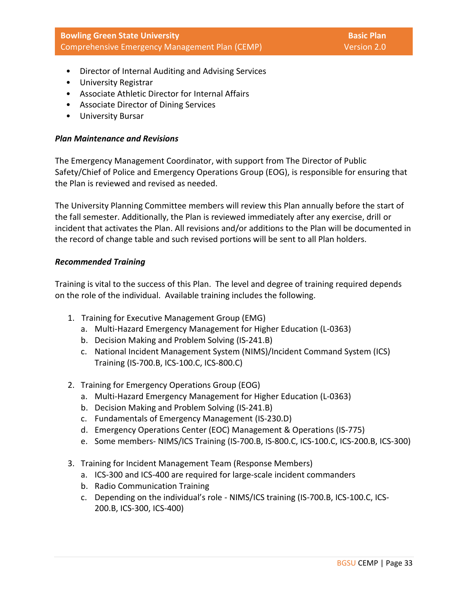- Director of Internal Auditing and Advising Services
- University Registrar
- Associate Athletic Director for Internal Affairs
- Associate Director of Dining Services
- University Bursar

## *Plan Maintenance and Revisions*

The Emergency Management Coordinator, with support from The Director of Public Safety/Chief of Police and Emergency Operations Group (EOG), is responsible for ensuring that the Plan is reviewed and revised as needed.

The University Planning Committee members will review this Plan annually before the start of the fall semester. Additionally, the Plan is reviewed immediately after any exercise, drill or incident that activates the Plan. All revisions and/or additions to the Plan will be documented in the record of change table and such revised portions will be sent to all Plan holders.

#### *Recommended Training*

Training is vital to the success of this Plan. The level and degree of training required depends on the role of the individual. Available training includes the following.

- 1. Training for Executive Management Group (EMG)
	- a. Multi-Hazard Emergency Management for Higher Education (L-0363)
	- b. Decision Making and Problem Solving (IS-241.B)
	- c. National Incident Management System (NIMS)/Incident Command System (ICS) Training (IS-700.B, ICS-100.C, ICS-800.C)
- 2. Training for Emergency Operations Group (EOG)
	- a. Multi-Hazard Emergency Management for Higher Education (L-0363)
	- b. Decision Making and Problem Solving (IS-241.B)
	- c. Fundamentals of Emergency Management (IS-230.D)
	- d. Emergency Operations Center (EOC) Management & Operations (IS-775)
	- e. Some members- NIMS/ICS Training (IS-700.B, IS-800.C, ICS-100.C, ICS-200.B, ICS-300)
- 3. Training for Incident Management Team (Response Members)
	- a. ICS-300 and ICS-400 are required for large-scale incident commanders
	- b. Radio Communication Training
	- c. Depending on the individual's role NIMS/ICS training (IS-700.B, ICS-100.C, ICS-200.B, ICS-300, ICS-400)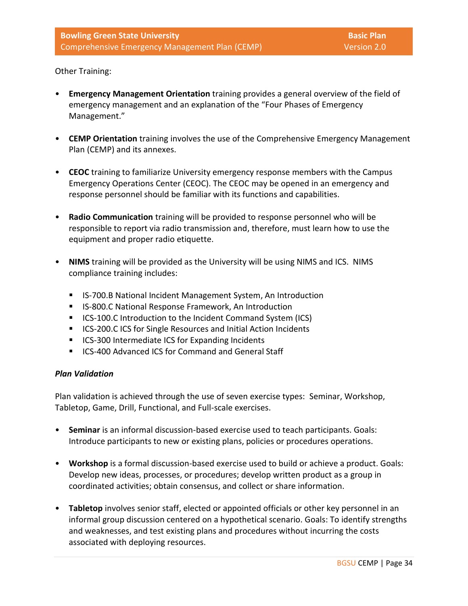Other Training:

- **Emergency Management Orientation** training provides a general overview of the field of emergency management and an explanation of the "Four Phases of Emergency Management."
- **CEMP Orientation** training involves the use of the Comprehensive Emergency Management Plan (CEMP) and its annexes.
- **CEOC** training to familiarize University emergency response members with the Campus Emergency Operations Center (CEOC). The CEOC may be opened in an emergency and response personnel should be familiar with its functions and capabilities.
- **Radio Communication** training will be provided to response personnel who will be responsible to report via radio transmission and, therefore, must learn how to use the equipment and proper radio etiquette.
- **NIMS** training will be provided as the University will be using NIMS and ICS. NIMS compliance training includes:
	- IS-700.B National Incident Management System, An Introduction
	- IS-800.C National Response Framework, An Introduction
	- ICS-100.C Introduction to the Incident Command System (ICS)
	- ICS-200.C ICS for Single Resources and Initial Action Incidents
	- ICS-300 Intermediate ICS for Expanding Incidents
	- ICS-400 Advanced ICS for Command and General Staff

## *Plan Validation*

Plan validation is achieved through the use of seven exercise types: Seminar, Workshop, Tabletop, Game, Drill, Functional, and Full-scale exercises.

- **Seminar** is an informal discussion-based exercise used to teach participants. Goals: Introduce participants to new or existing plans, policies or procedures operations.
- **Workshop** is a formal discussion-based exercise used to build or achieve a product. Goals: Develop new ideas, processes, or procedures; develop written product as a group in coordinated activities; obtain consensus, and collect or share information.
- **Tabletop** involves senior staff, elected or appointed officials or other key personnel in an informal group discussion centered on a hypothetical scenario. Goals: To identify strengths and weaknesses, and test existing plans and procedures without incurring the costs associated with deploying resources.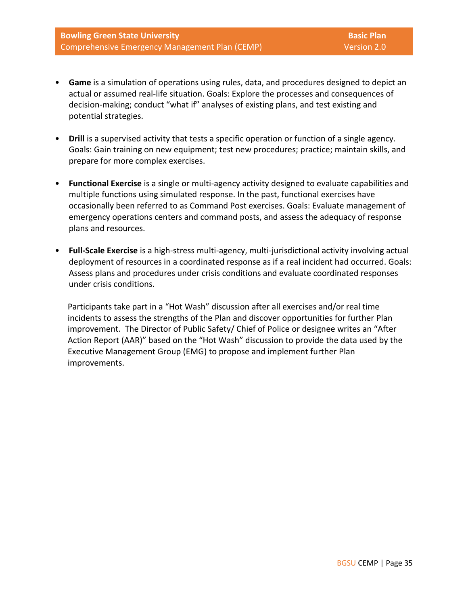- **Game** is a simulation of operations using rules, data, and procedures designed to depict an actual or assumed real-life situation. Goals: Explore the processes and consequences of decision-making; conduct "what if" analyses of existing plans, and test existing and potential strategies.
- **Drill** is a supervised activity that tests a specific operation or function of a single agency. Goals: Gain training on new equipment; test new procedures; practice; maintain skills, and prepare for more complex exercises.
- **Functional Exercise** is a single or multi-agency activity designed to evaluate capabilities and multiple functions using simulated response. In the past, functional exercises have occasionally been referred to as Command Post exercises. Goals: Evaluate management of emergency operations centers and command posts, and assess the adequacy of response plans and resources.
- **Full-Scale Exercise** is a high-stress multi-agency, multi-jurisdictional activity involving actual deployment of resources in a coordinated response as if a real incident had occurred. Goals: Assess plans and procedures under crisis conditions and evaluate coordinated responses under crisis conditions.

Participants take part in a "Hot Wash" discussion after all exercises and/or real time incidents to assess the strengths of the Plan and discover opportunities for further Plan improvement. The Director of Public Safety/ Chief of Police or designee writes an "After Action Report (AAR)" based on the "Hot Wash" discussion to provide the data used by the Executive Management Group (EMG) to propose and implement further Plan improvements.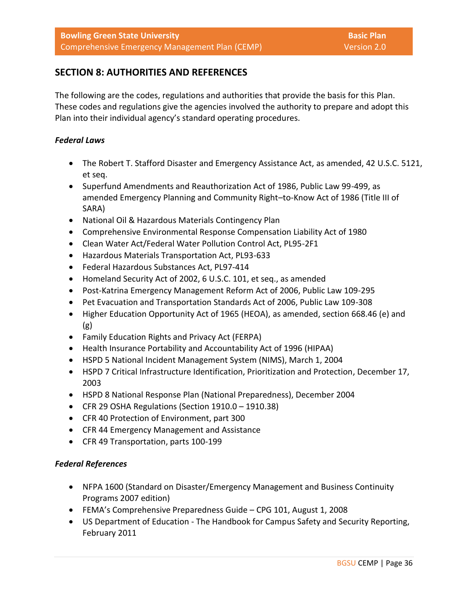## **SECTION 8: AUTHORITIES AND REFERENCES**

The following are the codes, regulations and authorities that provide the basis for this Plan. These codes and regulations give the agencies involved the authority to prepare and adopt this Plan into their individual agency's standard operating procedures.

## *Federal Laws*

- The Robert T. Stafford Disaster and Emergency Assistance Act, as amended, 42 U.S.C. 5121, et seq.
- Superfund Amendments and Reauthorization Act of 1986, Public Law 99-499, as amended Emergency Planning and Community Right–to-Know Act of 1986 (Title III of SARA)
- National Oil & Hazardous Materials Contingency Plan
- Comprehensive Environmental Response Compensation Liability Act of 1980
- Clean Water Act/Federal Water Pollution Control Act, PL95-2F1
- Hazardous Materials Transportation Act, PL93-633
- Federal Hazardous Substances Act, PL97-414
- Homeland Security Act of 2002, 6 U.S.C. 101, et seq., as amended
- Post-Katrina Emergency Management Reform Act of 2006, Public Law 109-295
- Pet Evacuation and Transportation Standards Act of 2006, Public Law 109-308
- Higher Education Opportunity Act of 1965 (HEOA), as amended, section 668.46 (e) and (g)
- Family Education Rights and Privacy Act (FERPA)
- Health Insurance Portability and Accountability Act of 1996 (HIPAA)
- HSPD 5 National Incident Management System (NIMS), March 1, 2004
- HSPD 7 Critical Infrastructure Identification, Prioritization and Protection, December 17, 2003
- HSPD 8 National Response Plan (National Preparedness), December 2004
- CFR 29 OSHA Regulations (Section 1910.0 1910.38)
- CFR 40 Protection of Environment, part 300
- CFR 44 Emergency Management and Assistance
- CFR 49 Transportation, parts 100-199

## *Federal References*

- NFPA 1600 (Standard on Disaster/Emergency Management and Business Continuity Programs 2007 edition)
- FEMA's Comprehensive Preparedness Guide CPG 101, August 1, 2008
- US Department of Education The Handbook for Campus Safety and Security Reporting, February 2011